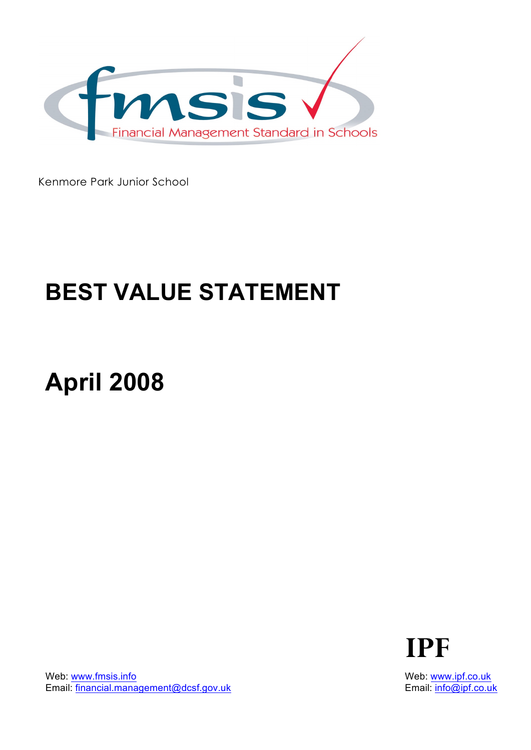

Kenmore Park Junior School

## **BEST VALUE STATEMENT**

# **April 2008**



Web: www.fmsis.info Email: financial.management@dcsf.gov.uk Web: www.ipf.co.uk Email: info@ipf.co.uk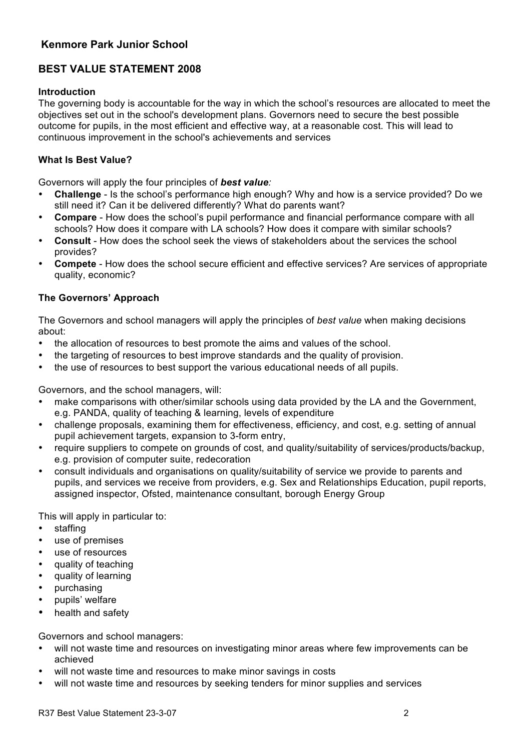### **Kenmore Park Junior School**

## **BEST VALUE STATEMENT 2008**

#### **Introduction**

The governing body is accountable for the way in which the school's resources are allocated to meet the objectives set out in the school's development plans. Governors need to secure the best possible outcome for pupils, in the most efficient and effective way, at a reasonable cost. This will lead to continuous improvement in the school's achievements and services

### **What Is Best Value?**

Governors will apply the four principles of *best value:*

- **Challenge**  Is the school's performance high enough? Why and how is a service provided? Do we still need it? Can it be delivered differently? What do parents want?
- **Compare**  How does the school's pupil performance and financial performance compare with all schools? How does it compare with LA schools? How does it compare with similar schools?
- **Consult**  How does the school seek the views of stakeholders about the services the school provides?
- **Compete**  How does the school secure efficient and effective services? Are services of appropriate quality, economic?

#### **The Governors' Approach**

The Governors and school managers will apply the principles of *best value* when making decisions about:

- the allocation of resources to best promote the aims and values of the school.
- the targeting of resources to best improve standards and the quality of provision.
- the use of resources to best support the various educational needs of all pupils.

Governors, and the school managers, will:

- make comparisons with other/similar schools using data provided by the LA and the Government, e.g. PANDA, quality of teaching & learning, levels of expenditure
- challenge proposals, examining them for effectiveness, efficiency, and cost, e.g. setting of annual pupil achievement targets, expansion to 3-form entry,
- require suppliers to compete on grounds of cost, and quality/suitability of services/products/backup, e.g. provision of computer suite, redecoration
- consult individuals and organisations on quality/suitability of service we provide to parents and pupils, and services we receive from providers, e.g. Sex and Relationships Education, pupil reports, assigned inspector, Ofsted, maintenance consultant, borough Energy Group

This will apply in particular to:

- staffing
- use of premises
- use of resources
- quality of teaching
- quality of learning
- purchasing
- pupils' welfare
- health and safety

Governors and school managers:

- will not waste time and resources on investigating minor areas where few improvements can be achieved
- will not waste time and resources to make minor savings in costs
- will not waste time and resources by seeking tenders for minor supplies and services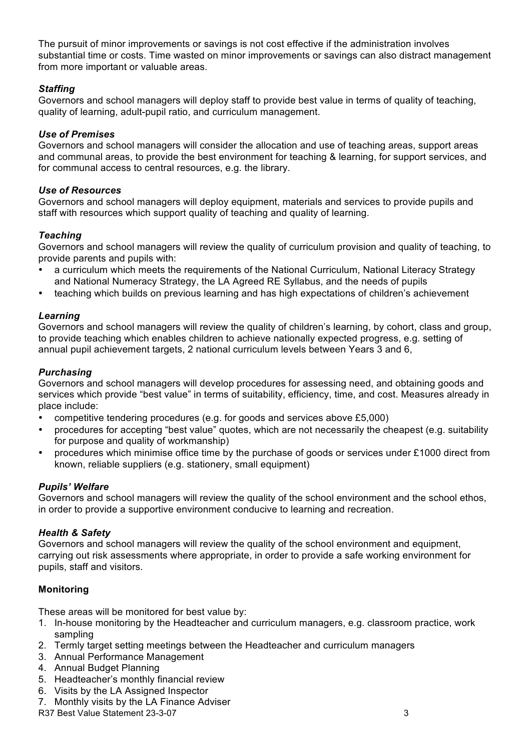The pursuit of minor improvements or savings is not cost effective if the administration involves substantial time or costs. Time wasted on minor improvements or savings can also distract management from more important or valuable areas.

#### *Staffing*

Governors and school managers will deploy staff to provide best value in terms of quality of teaching, quality of learning, adult-pupil ratio, and curriculum management.

#### *Use of Premises*

Governors and school managers will consider the allocation and use of teaching areas, support areas and communal areas, to provide the best environment for teaching & learning, for support services, and for communal access to central resources, e.g. the library.

#### *Use of Resources*

Governors and school managers will deploy equipment, materials and services to provide pupils and staff with resources which support quality of teaching and quality of learning.

#### *Teaching*

Governors and school managers will review the quality of curriculum provision and quality of teaching, to provide parents and pupils with:

- a curriculum which meets the requirements of the National Curriculum, National Literacy Strategy and National Numeracy Strategy, the LA Agreed RE Syllabus, and the needs of pupils
- teaching which builds on previous learning and has high expectations of children's achievement

#### *Learning*

Governors and school managers will review the quality of children's learning, by cohort, class and group, to provide teaching which enables children to achieve nationally expected progress, e.g. setting of annual pupil achievement targets, 2 national curriculum levels between Years 3 and 6,

#### *Purchasing*

Governors and school managers will develop procedures for assessing need, and obtaining goods and services which provide "best value" in terms of suitability, efficiency, time, and cost. Measures already in place include:

- competitive tendering procedures (e.g. for goods and services above £5,000)
- procedures for accepting "best value" quotes, which are not necessarily the cheapest (e.g. suitability for purpose and quality of workmanship)
- procedures which minimise office time by the purchase of goods or services under £1000 direct from known, reliable suppliers (e.g. stationery, small equipment)

#### *Pupils' Welfare*

Governors and school managers will review the quality of the school environment and the school ethos, in order to provide a supportive environment conducive to learning and recreation.

#### *Health & Safety*

Governors and school managers will review the quality of the school environment and equipment, carrying out risk assessments where appropriate, in order to provide a safe working environment for pupils, staff and visitors.

#### **Monitoring**

These areas will be monitored for best value by:

- 1. In-house monitoring by the Headteacher and curriculum managers, e.g. classroom practice, work sampling
- 2. Termly target setting meetings between the Headteacher and curriculum managers
- 3. Annual Performance Management
- 4. Annual Budget Planning
- 5. Headteacher's monthly financial review
- 6. Visits by the LA Assigned Inspector
- 7. Monthly visits by the LA Finance Adviser

R37 Best Value Statement 23-3-07 3